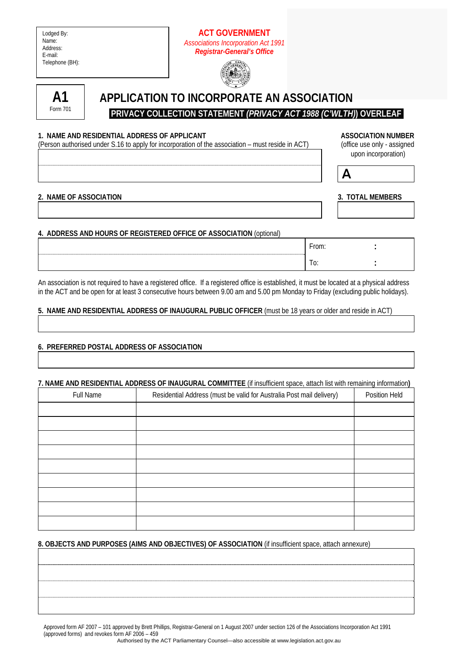| Lodged By:      |
|-----------------|
| Name:           |
| Address:        |
| E-mail:         |
| Telephone (BH): |

# **ACT GOVERNMENT**  *Associations Incorporation Act 1991 Registrar-General's Office*





# **APPLICATION TO INCORPORATE AN ASSOCIATION**

 **PRIVACY COLLECTION STATEMENT** *(PRIVACY ACT 1988 (C'WLTH)***) OVERLEAF** 

### 1. NAME AND RESIDENTIAL ADDRESS OF APPLICANT **ASSOCIATION IN ASSOCIATION NUMBER**

(Person authorised under S.16 to apply for incorporation of the association – must reside in ACT) (office use only - assigned

 $\overline{A}$ 

upon incorporation)

|  | 2 NAME OF ASSOCIATION |
|--|-----------------------|

## **3. TOTAL MEMBERS**

# **4. ADDRESS AND HOURS OF REGISTERED OFFICE OF ASSOCIATION** (optional)

| $\bar{r}$ rom: |  |
|----------------|--|
| J.             |  |

An association is not required to have a registered office. If a registered office is established, it must be located at a physical address in the ACT and be open for at least 3 consecutive hours between 9.00 am and 5.00 pm Monday to Friday (excluding public holidays).

## **5. NAME AND RESIDENTIAL ADDRESS OF INAUGURAL PUBLIC OFFICER** (must be 18 years or older and reside in ACT)

## **6. PREFERRED POSTAL ADDRESS OF ASSOCIATION**

#### **7. NAME AND RESIDENTIAL ADDRESS OF INAUGURAL COMMITTEE** (if insufficient space, attach list with remaining information**)**

| Full Name | Residential Address (must be valid for Australia Post mail delivery) | Position Held |
|-----------|----------------------------------------------------------------------|---------------|
|           |                                                                      |               |
|           |                                                                      |               |
|           |                                                                      |               |
|           |                                                                      |               |
|           |                                                                      |               |
|           |                                                                      |               |
|           |                                                                      |               |
|           |                                                                      |               |
|           |                                                                      |               |

## **8. OBJECTS AND PURPOSES (AIMS AND OBJECTIVES) OF ASSOCIATION** (if insufficient space, attach annexure)

Approved form AF 2007 – 101 approved by Brett Phillips, Registrar-General on 1 August 2007 under section 126 of the Associations Incorporation Act 1991 (approved forms) and revokes form AF 2006 – 459